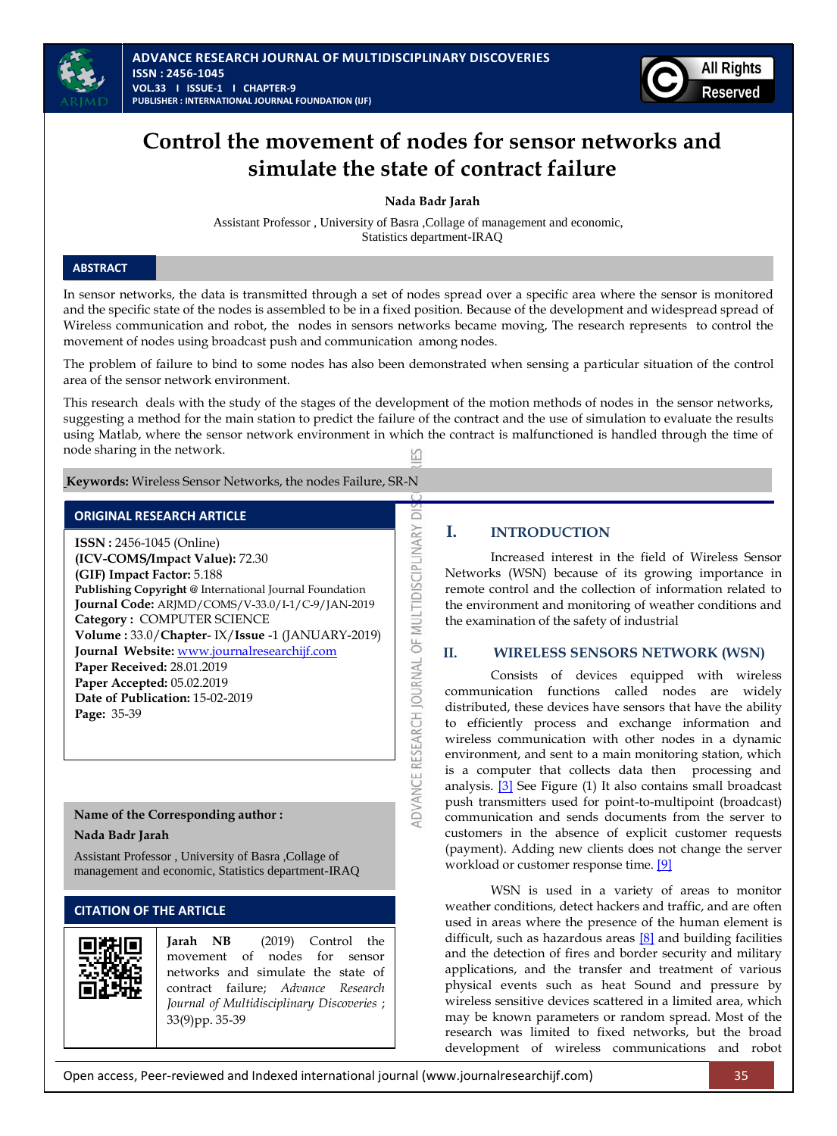



# **Control the movement of nodes for sensor networks and simulate the state of contract failure**

**Nada Badr Jarah**

Assistant Professor , University of Basra ,Collage of management and economic, Statistics department-IRAQ

# **ABSTRACT**

In sensor networks, the data is transmitted through a set of nodes spread over a specific area where the sensor is monitored and the specific state of the nodes is assembled to be in a fixed position. Because of the development and widespread spread of Wireless communication and robot, the nodes in sensors networks became moving, The research represents to control the movement of nodes using broadcast push and communication among nodes.

The problem of failure to bind to some nodes has also been demonstrated when sensing a particular situation of the control area of the sensor network environment.

This research deals with the study of the stages of the development of the motion methods of nodes in the sensor networks, suggesting a method for the main station to predict the failure of the contract and the use of simulation to evaluate the results using Matlab, where the sensor network environment in which the contract is malfunctioned is handled through the time of node sharing in the network.

ā

**IDVANCE RESEARCH JOURNAL OF MULTIDISCIPLINARY** 

**Keywords:** Wireless Sensor Networks, the nodes Failure, SR-N

# **ORIGINAL RESEARCH ARTICLE**

**ISSN :** 2456-1045 (Online) **(ICV-COMS/Impact Value):** 72.30 **(GIF) Impact Factor:** 5.188 **Publishing Copyright @** International Journal Foundation **Journal Code:** ARJMD/COMS/V-33.0/I-1/C-9/JAN-2019 **Category :** COMPUTER SCIENCE **Volume :** 33.0/**Chapter**- IX/**Issue** -1 (JANUARY-2019) **Journal Website:** [www.journalresearchijf.com](http://www.journalresearchijf.com/) **Paper Received:** 28.01.2019 **Paper Accepted:** 05.02.2019 **Date of Publication:** 15-02-2019 **Page:** 35-39

### **Name of the Corresponding author :**

**Nada Badr Jarah**

Assistant Professor , University of Basra ,Collage of management and economic, Statistics department-IRAQ

# **CITATION OF THE ARTICLE**



**Jarah NB** (2019) Control the movement of nodes for sensor networks and simulate the state of contract failure; *Advance Research Journal of Multidisciplinary Discoveries* ; 33(9)pp. 35-39

# **I. INTRODUCTION**

Increased interest in the field of Wireless Sensor Networks (WSN) because of its growing importance in remote control and the collection of information related to the environment and monitoring of weather conditions and the examination of the safety of industrial

#### **II. WIRELESS SENSORS NETWORK (WSN)**

Consists of devices equipped with wireless communication functions called nodes are widely distributed, these devices have sensors that have the ability to efficiently process and exchange information and wireless communication with other nodes in a dynamic environment, and sent to a main monitoring station, which is a computer that collects data then processing and analysis. [\[3\]](#page-4-0) See Figure (1) It also contains small broadcast push transmitters used for point-to-multipoint (broadcast) communication and sends documents from the server to customers in the absence of explicit customer requests (payment). Adding new clients does not change the server workload or customer response time. [\[9\]](#page-4-0)

WSN is used in a variety of areas to monitor weather conditions, detect hackers and traffic, and are often used in areas where the presence of the human element is difficult, such as hazardous areas [\[8\]](#page-4-0) and building facilities and the detection of fires and border security and military applications, and the transfer and treatment of various physical events such as heat Sound and pressure by wireless sensitive devices scattered in a limited area, which may be known parameters or random spread. Most of the research was limited to fixed networks, but the broad development of wireless communications and robot

Open access, Peer-reviewed and Indexed international journal (www.journalresearchijf.com) 35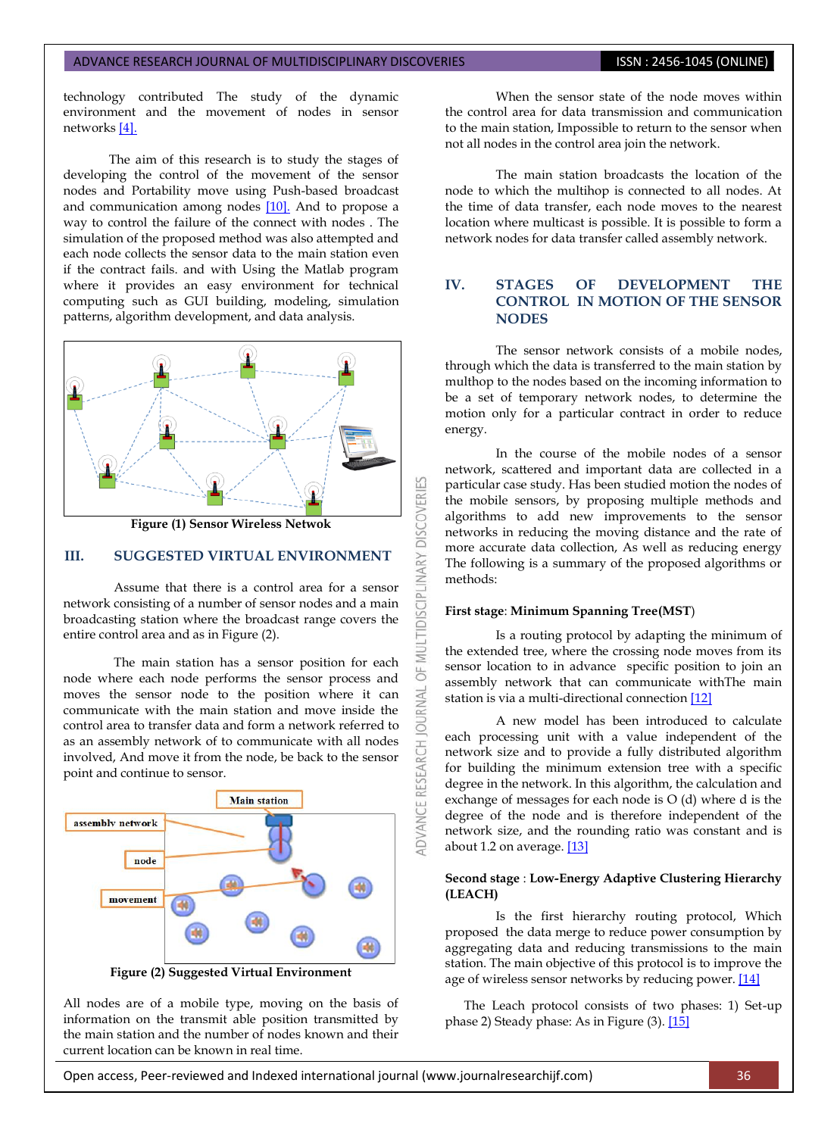technology contributed The study of the dynamic environment and the movement of nodes in sensor network[s \[4\].](#page-4-0)

The aim of this research is to study the stages of developing the control of the movement of the sensor nodes and Portability move using Push-based broadcast and communication among nodes [\[10\].](#page-4-0) And to propose a way to control the failure of the connect with nodes . The simulation of the proposed method was also attempted and each node collects the sensor data to the main station even if the contract fails. and with Using the Matlab program where it provides an easy environment for technical computing such as GUI building, modeling, simulation patterns, algorithm development, and data analysis.



**Figure (1) Sensor Wireless Netwok**

#### **III. SUGGESTED VIRTUAL ENVIRONMENT**

Assume that there is a control area for a sensor network consisting of a number of sensor nodes and a main broadcasting station where the broadcast range covers the entire control area and as in Figure (2).

The main station has a sensor position for each node where each node performs the sensor process and moves the sensor node to the position where it can communicate with the main station and move inside the control area to transfer data and form a network referred to as an assembly network of to communicate with all nodes involved, And move it from the node, be back to the sensor point and continue to sensor.



**Figure (2) Suggested Virtual Environment**

All nodes are of a mobile type, moving on the basis of information on the transmit able position transmitted by the main station and the number of nodes known and their current location can be known in real time.

When the sensor state of the node moves within the control area for data transmission and communication to the main station, Impossible to return to the sensor when not all nodes in the control area join the network.

The main station broadcasts the location of the node to which the multihop is connected to all nodes. At the time of data transfer, each node moves to the nearest location where multicast is possible. It is possible to form a network nodes for data transfer called assembly network.

### **IV. STAGES OF DEVELOPMENT THE CONTROL IN MOTION OF THE SENSOR NODES**

The sensor network consists of a mobile nodes, through which the data is transferred to the main station by multhop to the nodes based on the incoming information to be a set of temporary network nodes, to determine the motion only for a particular contract in order to reduce energy.

In the course of the mobile nodes of a sensor network, scattered and important data are collected in a particular case study. Has been studied motion the nodes of the mobile sensors, by proposing multiple methods and algorithms to add new improvements to the sensor networks in reducing the moving distance and the rate of more accurate data collection, As well as reducing energy The following is a summary of the proposed algorithms or methods:

#### **First stage**: **Minimum Spanning Tree(MST**)

53

**DISCOVERI** 

**INARY** 

5 **JRNAL**  $\overline{c}$ 

ADVANCE RESEARCH

Is a routing protocol by adapting the minimum of the extended tree, where the crossing node moves from its sensor location to in advance specific position to join an assembly network that can communicate withThe main station is via a multi-directional connectio[n \[12\]](#page-4-0)

A new model has been introduced to calculate each processing unit with a value independent of the network size and to provide a fully distributed algorithm for building the minimum extension tree with a specific degree in the network. In this algorithm, the calculation and exchange of messages for each node is O (d) where d is the degree of the node and is therefore independent of the network size, and the rounding ratio was constant and is about 1.2 on average. [\[13\]](#page-4-0)

#### **Second stage** : **Low-Energy Adaptive Clustering Hierarchy (LEACH)**

Is the first hierarchy routing protocol, Which proposed the data merge to reduce power consumption by aggregating data and reducing transmissions to the main station. The main objective of this protocol is to improve the age of wireless sensor networks by reducing power. [\[14\]](#page-4-0)

 The Leach protocol consists of two phases: 1) Set-up phase 2) Steady phase: As in Figure (3). [\[15\]](#page-4-0)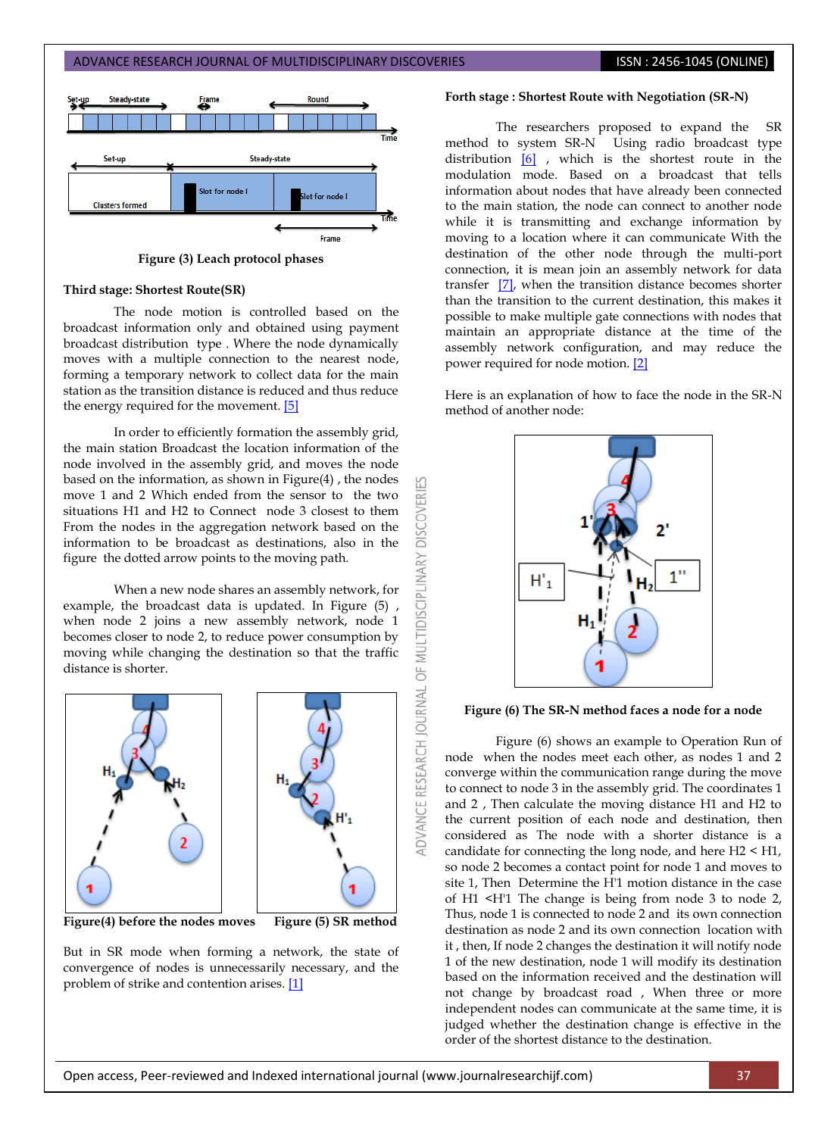

**Figure (3) Leach protocol phases**

#### **Third stage: Shortest Route(SR)**

The node motion is controlled based on the broadcast information only and obtained using payment broadcast distribution type . Where the node dynamically moves with a multiple connection to the nearest node, forming a temporary network to collect data for the main station as the transition distance is reduced and thus reduce the energy required for the movement[. \[5\]](#page-4-0)

In order to efficiently formation the assembly grid, the main station Broadcast the location information of the node involved in the assembly grid, and moves the node based on the information, as shown in Figure(4) , the nodes move 1 and 2 Which ended from the sensor to the two situations H1 and H2 to Connect node 3 closest to them From the nodes in the aggregation network based on the information to be broadcast as destinations, also in the figure the dotted arrow points to the moving path.

**DISCOVERI** 

**ILTIDISCIPLINARY** 

bF

DVANCE RESEARCH JOURNAL

When a new node shares an assembly network, for example, the broadcast data is updated. In Figure (5) , when node 2 joins a new assembly network, node 1 becomes closer to node 2, to reduce power consumption by moving while changing the destination so that the traffic distance is shorter.



**Figure(4) before the nodes moves Figure (5) SR method**

But in SR mode when forming a network, the state of convergence of nodes is unnecessarily necessary, and the problem of strike and contention arises. [\[1\]](#page-4-0)

#### **Forth stage : Shortest Route with Negotiation (SR-N)**

The researchers proposed to expand the SR method to system SR-N Using radio broadcast type distribution [\[6\]](#page-4-0) , which is the shortest route in the modulation mode. Based on a broadcast that tells information about nodes that have already been connected to the main station, the node can connect to another node while it is transmitting and exchange information by moving to a location where it can communicate With the destination of the other node through the multi-port connection, it is mean join an assembly network for data transfer [\[7\],](#page-4-0) when the transition distance becomes shorter than the transition to the current destination, this makes it possible to make multiple gate connections with nodes that maintain an appropriate distance at the time of the assembly network configuration, and may reduce the power required for node motion. [\[2\]](#page-4-0)

Here is an explanation of how to face the node in the SR-N method of another node:



**Figure (6) The SR-N method faces a node for a node**

Figure (6) shows an example to Operation Run of node when the nodes meet each other, as nodes 1 and 2 converge within the communication range during the move to connect to node 3 in the assembly grid. The coordinates 1 and 2 , Then calculate the moving distance H1 and H2 to the current position of each node and destination, then considered as The node with a shorter distance is a candidate for connecting the long node, and here H2 < H1, so node 2 becomes a contact point for node 1 and moves to site 1, Then Determine the H'1 motion distance in the case of H1 <H'1 The change is being from node 3 to node 2, Thus, node 1 is connected to node 2 and its own connection destination as node 2 and its own connection location with it , then, If node 2 changes the destination it will notify node 1 of the new destination, node 1 will modify its destination based on the information received and the destination will not change by broadcast road , When three or more independent nodes can communicate at the same time, it is judged whether the destination change is effective in the order of the shortest distance to the destination.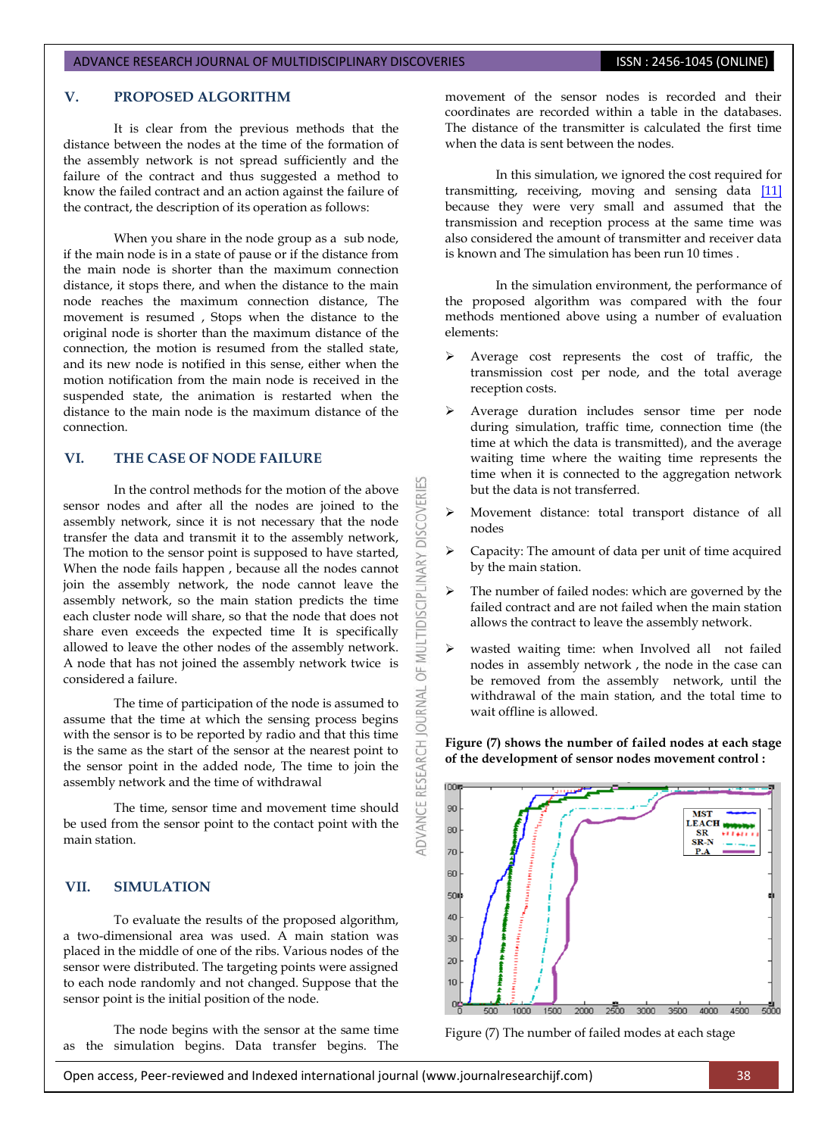#### ADVANCE RESEARCH JOURNAL OF MULTIDISCIPLINARY DISCOVERIES **ISSN : 2456-1045 (ONLINE)**

# **V. PROPOSED ALGORITHM**

It is clear from the previous methods that the distance between the nodes at the time of the formation of the assembly network is not spread sufficiently and the failure of the contract and thus suggested a method to know the failed contract and an action against the failure of the contract, the description of its operation as follows:

When you share in the node group as a sub node, if the main node is in a state of pause or if the distance from the main node is shorter than the maximum connection distance, it stops there, and when the distance to the main node reaches the maximum connection distance, The movement is resumed , Stops when the distance to the original node is shorter than the maximum distance of the connection, the motion is resumed from the stalled state, and its new node is notified in this sense, either when the motion notification from the main node is received in the suspended state, the animation is restarted when the distance to the main node is the maximum distance of the connection.

# **VI. THE CASE OF NODE FAILURE**

In the control methods for the motion of the above sensor nodes and after all the nodes are joined to the assembly network, since it is not necessary that the node transfer the data and transmit it to the assembly network, The motion to the sensor point is supposed to have started, When the node fails happen , because all the nodes cannot join the assembly network, the node cannot leave the assembly network, so the main station predicts the time each cluster node will share, so that the node that does not share even exceeds the expected time It is specifically allowed to leave the other nodes of the assembly network. A node that has not joined the assembly network twice is considered a failure.

The time of participation of the node is assumed to assume that the time at which the sensing process begins with the sensor is to be reported by radio and that this time is the same as the start of the sensor at the nearest point to the sensor point in the added node, The time to join the assembly network and the time of withdrawal

The time, sensor time and movement time should be used from the sensor point to the contact point with the main station.

### **VII. SIMULATION**

To evaluate the results of the proposed algorithm, a two-dimensional area was used. A main station was placed in the middle of one of the ribs. Various nodes of the sensor were distributed. The targeting points were assigned to each node randomly and not changed. Suppose that the sensor point is the initial position of the node.

The node begins with the sensor at the same time as the simulation begins. Data transfer begins. The

movement of the sensor nodes is recorded and their coordinates are recorded within a table in the databases. The distance of the transmitter is calculated the first time when the data is sent between the nodes.

In this simulation, we ignored the cost required for transmitting, receiving, moving and sensing data [\[11\]](#page-4-0) because they were very small and assumed that the transmission and reception process at the same time was also considered the amount of transmitter and receiver data is known and The simulation has been run 10 times .

In the simulation environment, the performance of the proposed algorithm was compared with the four methods mentioned above using a number of evaluation elements:

- Average cost represents the cost of traffic, the transmission cost per node, and the total average reception costs.
- Average duration includes sensor time per node during simulation, traffic time, connection time (the time at which the data is transmitted), and the average waiting time where the waiting time represents the time when it is connected to the aggregation network but the data is not transferred.

K

**DISCOVERI** 

**MULTIDISCIPLINARY** 

bF

**OURNAL** 

RESEARCH

ADVANCE

- Movement distance: total transport distance of all nodes
- Capacity: The amount of data per unit of time acquired by the main station.
- The number of failed nodes: which are governed by the failed contract and are not failed when the main station allows the contract to leave the assembly network.
- wasted waiting time: when Involved all not failed nodes in assembly network , the node in the case can be removed from the assembly network, until the withdrawal of the main station, and the total time to wait offline is allowed.

**Figure (7) shows the number of failed nodes at each stage of the development of sensor nodes movement control :** 



Figure (7) The number of failed modes at each stage

Open access, Peer-reviewed and Indexed international journal (www.journalresearchijf.com) 38